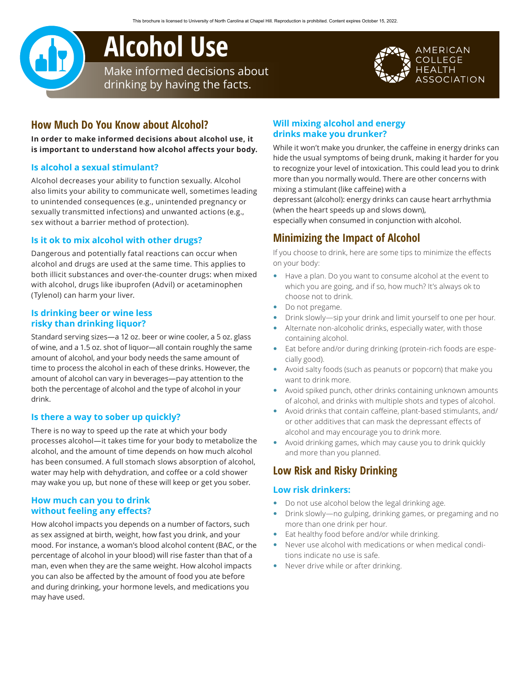# **Alcohol Use** Make informed decisions about

drinking by having the facts.

### AMERICAN **COLLEGE** HEALTH **SSOCIATION**

# **How Much Do You Know about Alcohol?**

**In order to make informed decisions about alcohol use, it is important to understand how alcohol affects your body.**

### **Is alcohol a sexual stimulant?**

Alcohol decreases your ability to function sexually. Alcohol also limits your ability to communicate well, sometimes leading to unintended consequences (e.g., unintended pregnancy or sexually transmitted infections) and unwanted actions (e.g., sex without a barrier method of protection).

### **Is it ok to mix alcohol with other drugs?**

Dangerous and potentially fatal reactions can occur when alcohol and drugs are used at the same time. This applies to both illicit substances and over-the-counter drugs: when mixed with alcohol, drugs like ibuprofen (Advil) or acetaminophen (Tylenol) can harm your liver.

#### **Is drinking beer or wine less risky than drinking liquor?**

Standard serving sizes—a 12 oz. beer or wine cooler, a 5 oz. glass of wine, and a 1.5 oz. shot of liquor—all contain roughly the same amount of alcohol, and your body needs the same amount of time to process the alcohol in each of these drinks. However, the amount of alcohol can vary in beverages—pay attention to the both the percentage of alcohol and the type of alcohol in your drink.

### **Is there a way to sober up quickly?**

There is no way to speed up the rate at which your body processes alcohol—it takes time for your body to metabolize the alcohol, and the amount of time depends on how much alcohol has been consumed. A full stomach slows absorption of alcohol, water may help with dehydration, and coffee or a cold shower may wake you up, but none of these will keep or get you sober.

### **How much can you to drink without feeling any effects?**

How alcohol impacts you depends on a number of factors, such as sex assigned at birth, weight, how fast you drink, and your mood. For instance, a woman's blood alcohol content (BAC, or the percentage of alcohol in your blood) will rise faster than that of a man, even when they are the same weight. How alcohol impacts you can also be affected by the amount of food you ate before and during drinking, your hormone levels, and medications you may have used.

## **Will mixing alcohol and energy drinks make you drunker?**

While it won't make you drunker, the caffeine in energy drinks can hide the usual symptoms of being drunk, making it harder for you to recognize your level of intoxication. This could lead you to drink more than you normally would. There are other concerns with mixing a stimulant (like caffeine) with a

depressant (alcohol): energy drinks can cause heart arrhythmia (when the heart speeds up and slows down),

especially when consumed in conjunction with alcohol.

# **Minimizing the Impact of Alcohol**

If you choose to drink, here are some tips to minimize the effects on your body:

- Have a plan. Do you want to consume alcohol at the event to which you are going, and if so, how much? It's always ok to choose not to drink.
- Do not pregame.
- Drink slowly—sip your drink and limit yourself to one per hour.
- Alternate non-alcoholic drinks, especially water, with those containing alcohol.
- Eat before and/or during drinking (protein-rich foods are especially good).
- Avoid salty foods (such as peanuts or popcorn) that make you want to drink more.
- Avoid spiked punch, other drinks containing unknown amounts of alcohol, and drinks with multiple shots and types of alcohol.
- Avoid drinks that contain caffeine, plant-based stimulants, and/ or other additives that can mask the depressant effects of alcohol and may encourage you to drink more.
- Avoid drinking games, which may cause you to drink quickly and more than you planned.

# **Low Risk and Risky Drinking**

#### **Low risk drinkers:**

- Do not use alcohol below the legal drinking age.
- Drink slowly—no gulping, drinking games, or pregaming and no more than one drink per hour.
- Eat healthy food before and/or while drinking.
- Never use alcohol with medications or when medical conditions indicate no use is safe.
- Never drive while or after drinking.